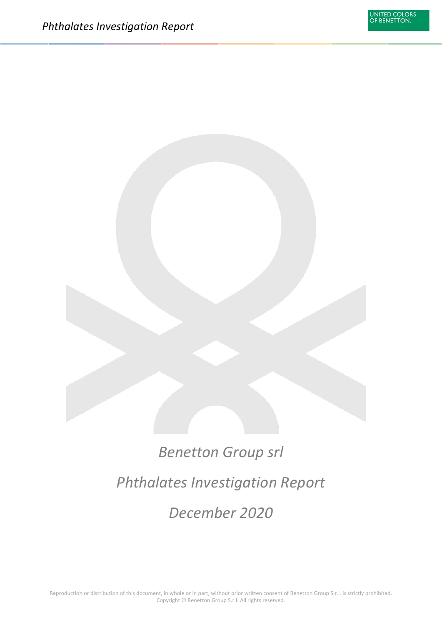# *Benetton Group srl Phthalates Investigation Report December 2020*

Reproduction or distribution of this document, in whole or in part, without prior written consent of Benetton Group S.r.l. is strictly prohibited. Copyright © Benetton Group S.r.l. All rights reserved.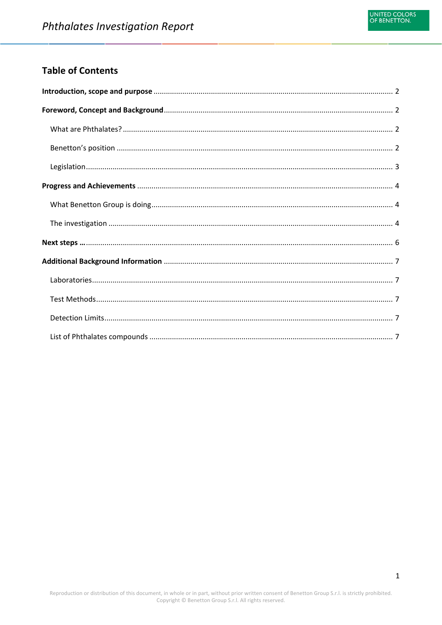## **Table of Contents**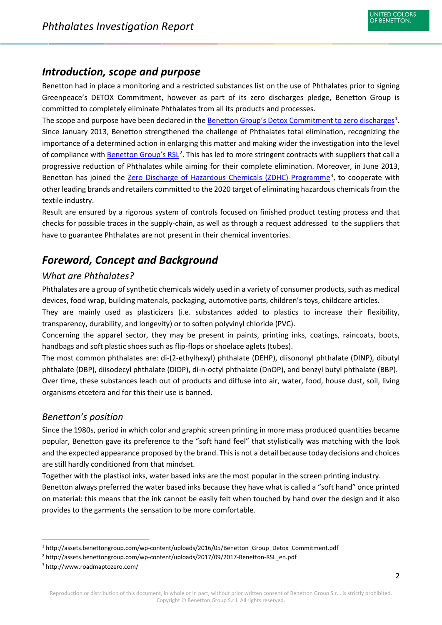# <span id="page-2-0"></span>*Introduction, scope and purpose*

Benetton had in place a monitoring and a restricted substances list on the use of Phthalates prior to signing Greenpeace's DETOX Commitment, however as part of its zero discharges pledge, Benetton Group is committed to completely eliminate Phthalates from all its products and processes.

The scope and purpose have been declared in the <u>Benetton Group's Detox Commitment to zero discharges</u><sup>[1](#page-2-4)</sup>. Since January 2013, Benetton strengthened the challenge of Phthalates total elimination, recognizing the importance of a determined action in enlarging this matter and making wider the investigation into the level of compliance with **Benetton Group's RSL**<sup>[2](#page-2-5)</sup>. This has led to more stringent contracts with suppliers that call a progressive reduction of Phthalates while aiming for their complete elimination. Moreover, in June 2013, Benetton has joined the [Zero Discharge of Hazardous Chemicals \(ZDHC\) Programme](http://www.roadmaptozero.com/)<sup>[3](#page-2-6)</sup>, to cooperate with other leading brands and retailers committed to the 2020 target of eliminating hazardous chemicals from the textile industry.

Result are ensured by a rigorous system of controls focused on finished product testing process and that checks for possible traces in the supply-chain, as well as through a request addressed to the suppliers that have to guarantee Phthalates are not present in their chemical inventories.

# <span id="page-2-1"></span>*Foreword, Concept and Background*

#### <span id="page-2-2"></span>*What are Phthalates?*

Phthalates are a group of synthetic chemicals widely used in a variety of consumer products, such as medical devices, food wrap, building materials, packaging, automotive parts, children's toys, childcare articles.

They are mainly used as plasticizers (i.e. substances added to plastics to increase their flexibility, transparency, durability, and longevity) or to soften polyvinyl chloride (PVC).

Concerning the apparel sector, they may be present in paints, printing inks, coatings, raincoats, boots, handbags and soft plastic shoes such as flip-flops or shoelace aglets (tubes).

The most common phthalates are: di-(2-ethylhexyl) phthalate (DEHP), diisononyl phthalate (DINP), dibutyl phthalate (DBP), diisodecyl phthalate (DIDP), di-n-octyl phthalate (DnOP), and benzyl butyl phthalate (BBP). Over time, these substances leach out of products and diffuse into air, water, food, house dust, soil, living organisms etcetera and for this their use is banned.

#### <span id="page-2-3"></span>*Benetton's position*

Since the 1980s, period in which color and graphic screen printing in more mass produced quantities became popular, Benetton gave its preference to the "soft hand feel" that stylistically was matching with the look and the expected appearance proposed by the brand. This is not a detail because today decisions and choices are still hardly conditioned from that mindset.

Together with the plastisol inks, water based inks are the most popular in the screen printing industry. Benetton always preferred the water based inks because they have what is called a "soft hand" once printed on material: this means that the ink cannot be easily felt when touched by hand over the design and it also provides to the garments the sensation to be more comfortable.

<span id="page-2-4"></span><sup>&</sup>lt;sup>1</sup> http://assets.benettongroup.com/wp-content/uploads/2016/05/Benetton Group Detox Commitment.pdf

<span id="page-2-5"></span><sup>2</sup> http://assets.benettongroup.com/wp-content/uploads/2017/09/2017-Benetton-RSL\_en.pdf

<span id="page-2-6"></span><sup>3</sup> http://www.roadmaptozero.com/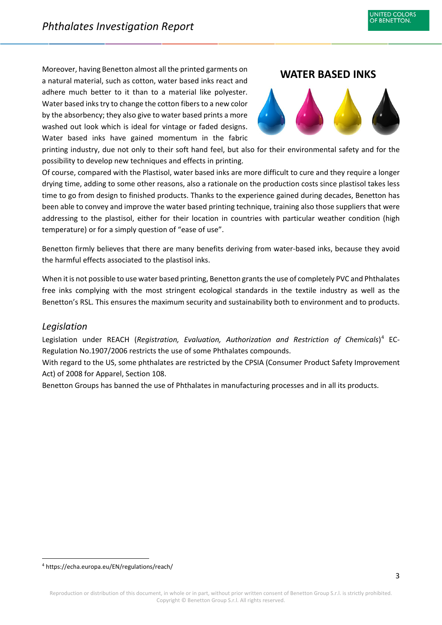a natural material, such as cotton, water based inks react and adhere much better to it than to a material like polyester. Water based inkstry to change the cotton fibers to a new color by the absorbency; they also give to water based prints a more washed out look which is ideal for vintage or faded designs. Water based inks have gained momentum in the fabric



**JNITED COLORS** OF BENETTON.

printing industry, due not only to their soft hand feel, but also for their environmental safety and for the possibility to develop new techniques and effects in printing.

Of course, compared with the Plastisol, water based inks are more difficult to cure and they require a longer drying time, adding to some other reasons, also a rationale on the production costs since plastisol takes less time to go from design to finished products. Thanks to the experience gained during decades, Benetton has been able to convey and improve the water based printing technique, training also those suppliers that were addressing to the plastisol, either for their location in countries with particular weather condition (high temperature) or for a simply question of "ease of use".

Benetton firmly believes that there are many benefits deriving from water-based inks, because they avoid the harmful effects associated to the plastisol inks.

When it is not possible to use water based printing, Benetton grants the use of completely PVC and Phthalates free inks complying with the most stringent ecological standards in the textile industry as well as the Benetton's RSL. This ensures the maximum security and sustainability both to environment and to products.

#### <span id="page-3-0"></span>*Legislation*

Legislation under REACH (*Registration, Evaluation, Authorization and Restriction of Chemicals*) [4](#page-3-1) EC-Regulation No.1907/2006 restricts the use of some Phthalates compounds.

With regard to the US, some phthalates are restricted by the CPSIA (Consumer Product Safety Improvement Act) of 2008 for Apparel, Section 108.

Benetton Groups has banned the use of Phthalates in manufacturing processes and in all its products.

<span id="page-3-1"></span> <sup>4</sup> https://echa.europa.eu/EN/regulations/reach/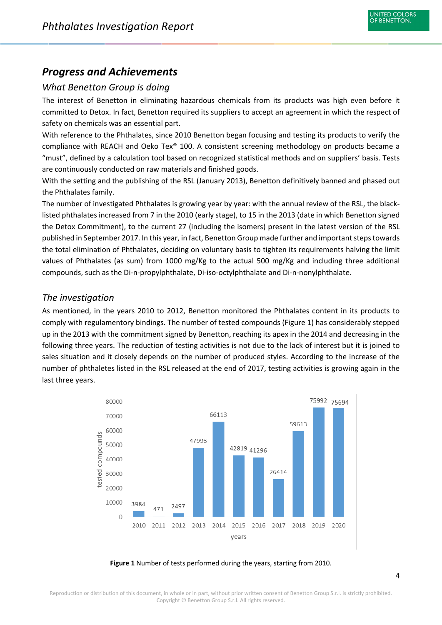# <span id="page-4-0"></span>*Progress and Achievements*

## <span id="page-4-1"></span>*What Benetton Group is doing*

The interest of Benetton in eliminating hazardous chemicals from its products was high even before it committed to Detox. In fact, Benetton required its suppliers to accept an agreement in which the respect of safety on chemicals was an essential part.

With reference to the Phthalates, since 2010 Benetton began focusing and testing its products to verify the compliance with REACH and Oeko Tex® 100. A consistent screening methodology on products became a "must", defined by a calculation tool based on recognized statistical methods and on suppliers' basis. Tests are continuously conducted on raw materials and finished goods.

With the setting and the publishing of the RSL (January 2013), Benetton definitively banned and phased out the Phthalates family.

The number of investigated Phthalates is growing year by year: with the annual review of the RSL, the blacklisted phthalates increased from 7 in the 2010 (early stage), to 15 in the 2013 (date in which Benetton signed the Detox Commitment), to the current 27 (including the isomers) present in the latest version of the RSL published in September 2017. In this year, in fact, Benetton Group made further and important steps towards the total elimination of Phthalates, deciding on voluntary basis to tighten its requirements halving the limit values of Phthalates (as sum) from 1000 mg/Kg to the actual 500 mg/Kg and including three additional compounds, such as the Di-n-propylphthalate, Di-iso-octylphthalate and Di-n-nonylphthalate.

#### <span id="page-4-2"></span>*The investigation*

As mentioned, in the years 2010 to 2012, Benetton monitored the Phthalates content in its products to comply with regulamentory bindings. The number of tested compounds (Figure 1) has considerably stepped up in the 2013 with the commitment signed by Benetton, reaching its apex in the 2014 and decreasing in the following three years. The reduction of testing activities is not due to the lack of interest but it is joined to sales situation and it closely depends on the number of produced styles. According to the increase of the number of phthaletes listed in the RSL released at the end of 2017, testing activities is growing again in the last three years.



**Figure 1** Number of tests performed during the years, starting from 2010.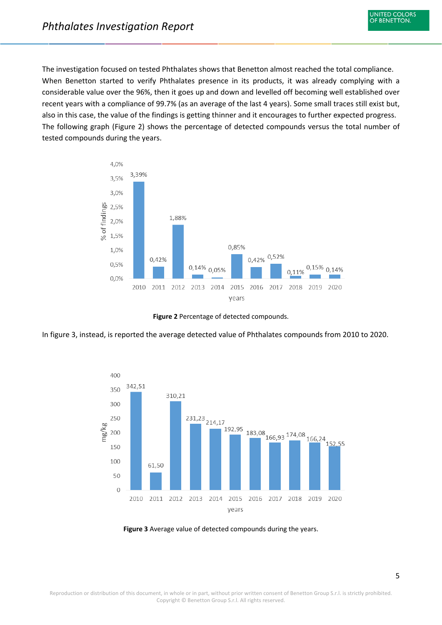The investigation focused on tested Phthalates shows that Benetton almost reached the total compliance. When Benetton started to verify Phthalates presence in its products, it was already complying with a considerable value over the 96%, then it goes up and down and levelled off becoming well established over recent years with a compliance of 99.7% (as an average of the last 4 years). Some small traces still exist but, also in this case, the value of the findings is getting thinner and it encourages to further expected progress. The following graph (Figure 2) shows the percentage of detected compounds versus the total number of tested compounds during the years.



**Figure 2** Percentage of detected compounds.

In figure 3, instead, is reported the average detected value of Phthalates compounds from 2010 to 2020.



**Figure 3** Average value of detected compounds during the years.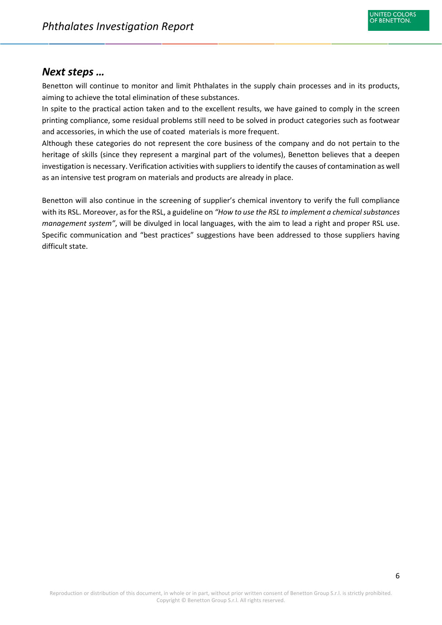## <span id="page-6-0"></span>*Next steps …*

Benetton will continue to monitor and limit Phthalates in the supply chain processes and in its products, aiming to achieve the total elimination of these substances.

In spite to the practical action taken and to the excellent results, we have gained to comply in the screen printing compliance, some residual problems still need to be solved in product categories such as footwear and accessories, in which the use of coated materials is more frequent.

Although these categories do not represent the core business of the company and do not pertain to the heritage of skills (since they represent a marginal part of the volumes), Benetton believes that a deepen investigation is necessary. Verification activities with suppliers to identify the causes of contamination as well as an intensive test program on materials and products are already in place.

Benetton will also continue in the screening of supplier's chemical inventory to verify the full compliance with its RSL. Moreover, as for the RSL, a guideline on *"How to use the RSL to implement a chemical substances management system"*, will be divulged in local languages, with the aim to lead a right and proper RSL use. Specific communication and "best practices" suggestions have been addressed to those suppliers having difficult state.